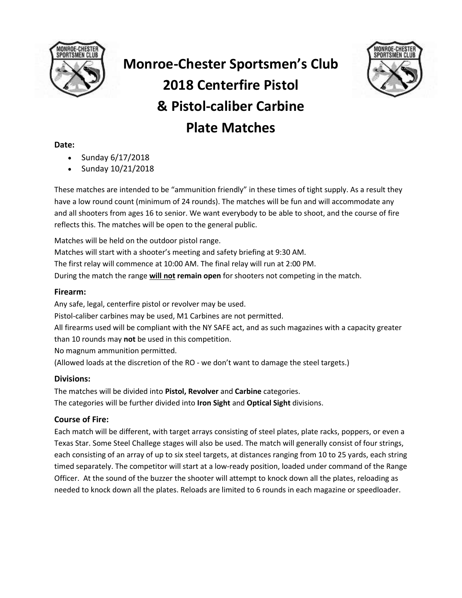

# **Monroe-Chester Sportsmen's Club 2018 Centerfire Pistol & Pistol-caliber Carbine Plate Matches**



## **Date:**

- Sunday 6/17/2018
- Sunday 10/21/2018

These matches are intended to be "ammunition friendly" in these times of tight supply. As a result they have a low round count (minimum of 24 rounds). The matches will be fun and will accommodate any and all shooters from ages 16 to senior. We want everybody to be able to shoot, and the course of fire reflects this. The matches will be open to the general public.

Matches will be held on the outdoor pistol range.

Matches will start with a shooter's meeting and safety briefing at 9:30 AM.

The first relay will commence at 10:00 AM. The final relay will run at 2:00 PM.

During the match the range **will not remain open** for shooters not competing in the match.

## **Firearm:**

Any safe, legal, centerfire pistol or revolver may be used. Pistol-caliber carbines may be used, M1 Carbines are not permitted. All firearms used will be compliant with the NY SAFE act, and as such magazines with a capacity greater than 10 rounds may **not** be used in this competition. No magnum ammunition permitted. (Allowed loads at the discretion of the RO - we don't want to damage the steel targets.)

## **Divisions:**

The matches will be divided into **Pistol, Revolver** and **Carbine** categories. The categories will be further divided into **Iron Sight** and **Optical Sight** divisions.

# **Course of Fire:**

Each match will be different, with target arrays consisting of steel plates, plate racks, poppers, or even a Texas Star. Some Steel Challege stages will also be used. The match will generally consist of four strings, each consisting of an array of up to six steel targets, at distances ranging from 10 to 25 yards, each string timed separately. The competitor will start at a low-ready position, loaded under command of the Range Officer. At the sound of the buzzer the shooter will attempt to knock down all the plates, reloading as needed to knock down all the plates. Reloads are limited to 6 rounds in each magazine or speedloader.